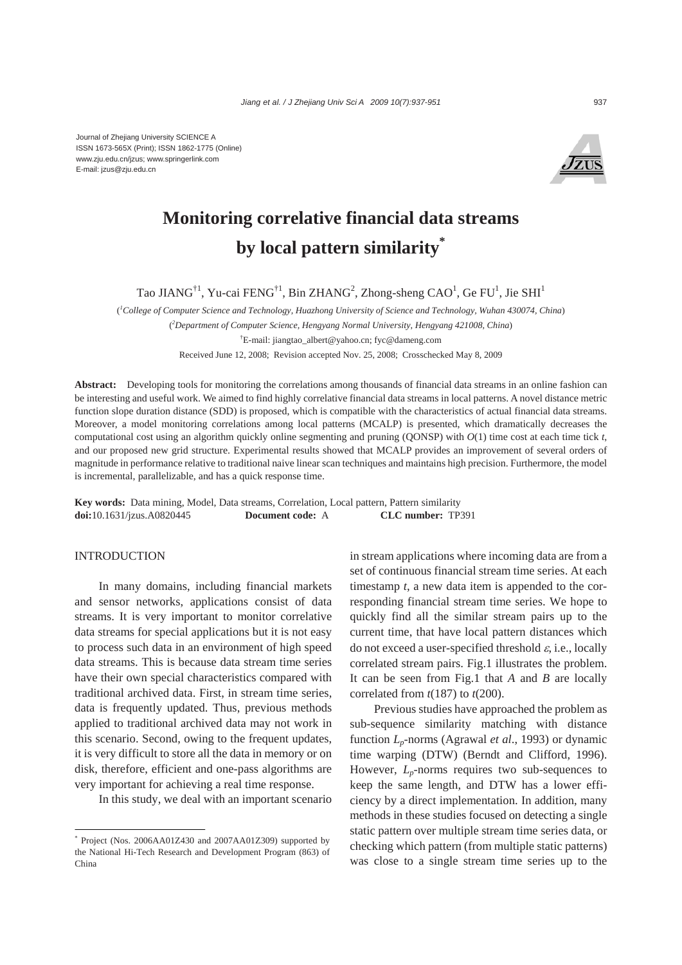Journal of Zhejiang University SCIENCE A ISSN 1673-565X (Print); ISSN 1862-1775 (Online) www.zju.edu.cn/jzus; www.springerlink.com E-mail: jzus@zju.edu.cn



# **Monitoring correlative financial data streams by local pattern similarity\***

Tao JIAN $G^{\dagger 1}$ , Yu-cai FEN $G^{\dagger 1}$ , Bin ZHAN $G^2$ , Zhong-sheng CAO<sup>1</sup>, Ge FU<sup>1</sup>, Jie SHI<sup>1</sup>

( *1 College of Computer Science and Technology, Huazhong University of Science and Technology, Wuhan 430074, China*) ( *2 Department of Computer Science, Hengyang Normal University, Hengyang 421008, China*)

† E-mail: jiangtao\_albert@yahoo.cn; fyc@dameng.com

Received June 12, 2008; Revision accepted Nov. 25, 2008; Crosschecked May 8, 2009

**Abstract:** Developing tools for monitoring the correlations among thousands of financial data streams in an online fashion can be interesting and useful work. We aimed to find highly correlative financial data streams in local patterns. A novel distance metric function slope duration distance (SDD) is proposed, which is compatible with the characteristics of actual financial data streams. Moreover, a model monitoring correlations among local patterns (MCALP) is presented, which dramatically decreases the computational cost using an algorithm quickly online segmenting and pruning  $(QONSP)$  with  $O(1)$  time cost at each time tick  $t$ , and our proposed new grid structure. Experimental results showed that MCALP provides an improvement of several orders of magnitude in performance relative to traditional naive linear scan techniques and maintains high precision. Furthermore, the model is incremental, parallelizable, and has a quick response time.

**Key words:** Data mining, Model, Data streams, Correlation, Local pattern, Pattern similarity **doi:**10.1631/jzus.A0820445 **Document code:** A **CLC number:** TP391

#### INTRODUCTION

In many domains, including financial markets and sensor networks, applications consist of data streams. It is very important to monitor correlative data streams for special applications but it is not easy to process such data in an environment of high speed data streams. This is because data stream time series have their own special characteristics compared with traditional archived data. First, in stream time series, data is frequently updated. Thus, previous methods applied to traditional archived data may not work in this scenario. Second, owing to the frequent updates, it is very difficult to store all the data in memory or on disk, therefore, efficient and one-pass algorithms are very important for achieving a real time response.

In this study, we deal with an important scenario

in stream applications where incoming data are from a set of continuous financial stream time series. At each timestamp *t*, a new data item is appended to the corresponding financial stream time series. We hope to quickly find all the similar stream pairs up to the current time, that have local pattern distances which do not exceed a user-specified threshold  $\varepsilon$ , i.e., locally correlated stream pairs. Fig.1 illustrates the problem. It can be seen from Fig.1 that *A* and *B* are locally correlated from *t*(187) to *t*(200).

Previous studies have approached the problem as sub-sequence similarity matching with distance function *Lp*-norms (Agrawal *et al*., 1993) or dynamic time warping (DTW) (Berndt and Clifford, 1996). However,  $L_p$ -norms requires two sub-sequences to keep the same length, and DTW has a lower efficiency by a direct implementation. In addition, many methods in these studies focused on detecting a single static pattern over multiple stream time series data, or checking which pattern (from multiple static patterns) was close to a single stream time series up to the

<sup>\*</sup> Project (Nos. 2006AA01Z430 and 2007AA01Z309) supported by the National Hi-Tech Research and Development Program (863) of China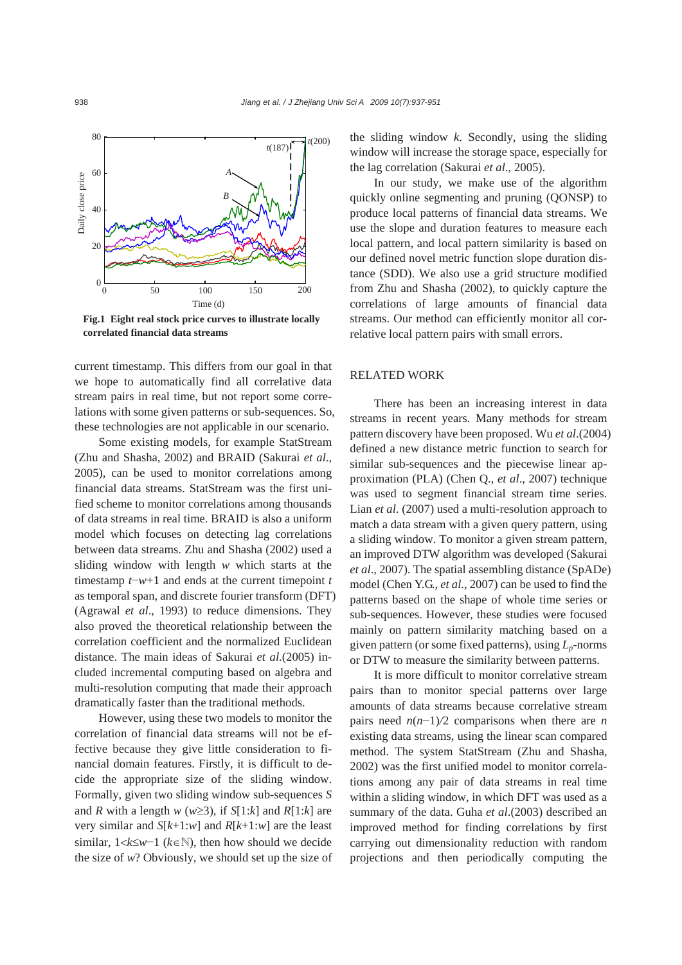

**Fig.1 Eight real stock price curves to illustrate locally correlated financial data streams** 

current timestamp. This differs from our goal in that we hope to automatically find all correlative data stream pairs in real time, but not report some correlations with some given patterns or sub-sequences. So, these technologies are not applicable in our scenario.

Some existing models, for example StatStream (Zhu and Shasha, 2002) and BRAID (Sakurai *et al*., 2005), can be used to monitor correlations among financial data streams. StatStream was the first unified scheme to monitor correlations among thousands of data streams in real time. BRAID is also a uniform model which focuses on detecting lag correlations between data streams. Zhu and Shasha (2002) used a sliding window with length *w* which starts at the timestamp *t*−*w*+1 and ends at the current timepoint *t* as temporal span, and discrete fourier transform (DFT) (Agrawal *et al*., 1993) to reduce dimensions. They also proved the theoretical relationship between the correlation coefficient and the normalized Euclidean distance. The main ideas of Sakurai *et al*.(2005) included incremental computing based on algebra and multi-resolution computing that made their approach dramatically faster than the traditional methods.

However, using these two models to monitor the correlation of financial data streams will not be effective because they give little consideration to financial domain features. Firstly, it is difficult to decide the appropriate size of the sliding window. Formally, given two sliding window sub-sequences *S*  and *R* with a length  $w$  ( $w \ge 3$ ), if *S*[1:*k*] and *R*[1:*k*] are very similar and *S*[*k*+1:*w*] and *R*[*k*+1:*w*] are the least similar,  $1 < k \leq w-1$  ( $k \in \mathbb{N}$ ), then how should we decide the size of *w*? Obviously, we should set up the size of the sliding window *k*. Secondly, using the sliding window will increase the storage space, especially for the lag correlation (Sakurai *et al*., 2005).

In our study, we make use of the algorithm quickly online segmenting and pruning (QONSP) to produce local patterns of financial data streams. We use the slope and duration features to measure each local pattern, and local pattern similarity is based on our defined novel metric function slope duration distance (SDD). We also use a grid structure modified from Zhu and Shasha (2002), to quickly capture the correlations of large amounts of financial data streams. Our method can efficiently monitor all correlative local pattern pairs with small errors.

## RELATED WORK

There has been an increasing interest in data streams in recent years. Many methods for stream pattern discovery have been proposed. Wu *et al*.(2004) defined a new distance metric function to search for similar sub-sequences and the piecewise linear approximation (PLA) (Chen Q., *et al*., 2007) technique was used to segment financial stream time series. Lian *et al*. (2007) used a multi-resolution approach to match a data stream with a given query pattern, using a sliding window. To monitor a given stream pattern, an improved DTW algorithm was developed (Sakurai *et al*., 2007). The spatial assembling distance (SpADe) model (Chen Y.G., *et al.*, 2007) can be used to find the patterns based on the shape of whole time series or sub-sequences. However, these studies were focused mainly on pattern similarity matching based on a given pattern (or some fixed patterns), using *Lp*-norms or DTW to measure the similarity between patterns.

It is more difficult to monitor correlative stream pairs than to monitor special patterns over large amounts of data streams because correlative stream pairs need *n*(*n*−1)*/*2 comparisons when there are *n*  existing data streams, using the linear scan compared method. The system StatStream (Zhu and Shasha, 2002) was the first unified model to monitor correlations among any pair of data streams in real time within a sliding window, in which DFT was used as a summary of the data. Guha *et al*.(2003) described an improved method for finding correlations by first carrying out dimensionality reduction with random projections and then periodically computing the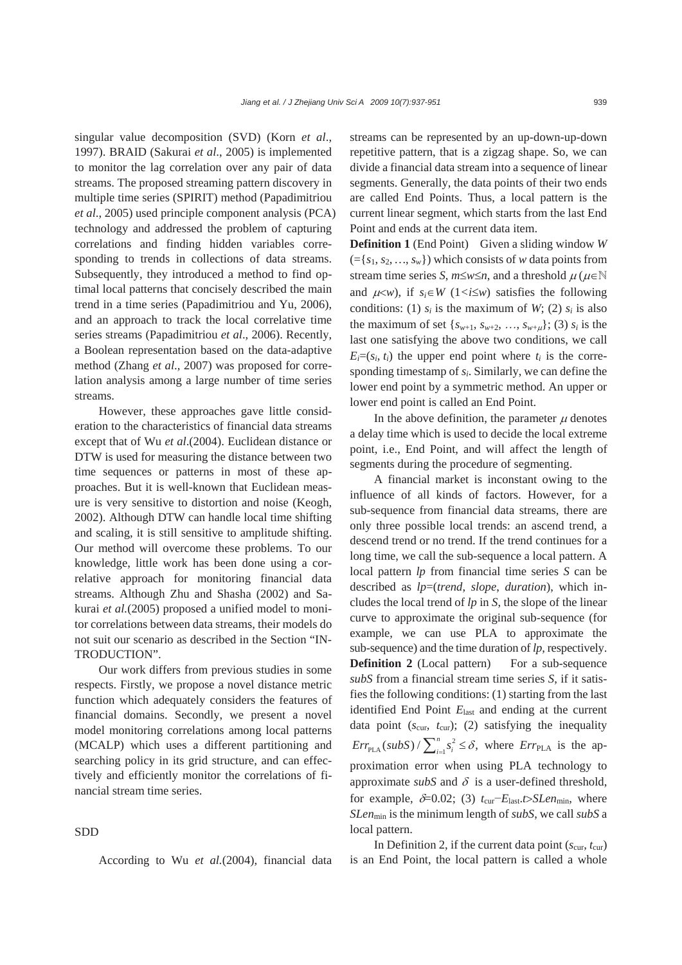singular value decomposition (SVD) (Korn *et al*., 1997). BRAID (Sakurai *et al*., 2005) is implemented to monitor the lag correlation over any pair of data streams. The proposed streaming pattern discovery in multiple time series (SPIRIT) method (Papadimitriou *et al*., 2005) used principle component analysis (PCA) technology and addressed the problem of capturing correlations and finding hidden variables corresponding to trends in collections of data streams. Subsequently, they introduced a method to find optimal local patterns that concisely described the main trend in a time series (Papadimitriou and Yu, 2006), and an approach to track the local correlative time series streams (Papadimitriou *et al*., 2006). Recently, a Boolean representation based on the data-adaptive method (Zhang *et al*., 2007) was proposed for correlation analysis among a large number of time series streams.

However, these approaches gave little consideration to the characteristics of financial data streams except that of Wu *et al*.(2004). Euclidean distance or DTW is used for measuring the distance between two time sequences or patterns in most of these approaches. But it is well-known that Euclidean measure is very sensitive to distortion and noise (Keogh, 2002). Although DTW can handle local time shifting and scaling, it is still sensitive to amplitude shifting. Our method will overcome these problems. To our knowledge, little work has been done using a correlative approach for monitoring financial data streams. Although Zhu and Shasha (2002) and Sakurai *et al.*(2005) proposed a unified model to monitor correlations between data streams, their models do not suit our scenario as described in the Section "IN-TRODUCTION".

Our work differs from previous studies in some respects. Firstly, we propose a novel distance metric function which adequately considers the features of financial domains. Secondly, we present a novel model monitoring correlations among local patterns (MCALP) which uses a different partitioning and searching policy in its grid structure, and can effectively and efficiently monitor the correlations of financial stream time series.

# SDD

According to Wu *et al.*(2004), financial data

streams can be represented by an up-down-up-down repetitive pattern, that is a zigzag shape. So, we can divide a financial data stream into a sequence of linear segments. Generally, the data points of their two ends are called End Points. Thus, a local pattern is the current linear segment, which starts from the last End Point and ends at the current data item.

**Definition 1** (End Point)Given a sliding window *W*  $(=\{s_1, s_2, \ldots, s_w\})$  which consists of *w* data points from stream time series *S*,  $m \le w \le n$ , and a threshold  $\mu$  ( $\mu \in \mathbb{N}$ and  $\mu \leq w$ ), if  $s_i \in W$  (1 < *i* $\leq w$ ) satisfies the following conditions: (1)  $s_i$  is the maximum of *W*; (2)  $s_i$  is also the maximum of set  $\{s_{w+1}, s_{w+2}, ..., s_{w+\mu}\}$ ; (3)  $s_i$  is the last one satisfying the above two conditions, we call  $E_i = (s_i, t_i)$  the upper end point where  $t_i$  is the corresponding timestamp of *si*. Similarly, we can define the lower end point by a symmetric method. An upper or lower end point is called an End Point.

In the above definition, the parameter  $\mu$  denotes a delay time which is used to decide the local extreme point, i.e., End Point, and will affect the length of segments during the procedure of segmenting.

A financial market is inconstant owing to the influence of all kinds of factors. However, for a sub-sequence from financial data streams, there are only three possible local trends: an ascend trend, a descend trend or no trend. If the trend continues for a long time, we call the sub-sequence a local pattern. A local pattern *lp* from financial time series *S* can be described as *lp*=(*trend*, *slope*, *duration*), which includes the local trend of *lp* in *S*, the slope of the linear curve to approximate the original sub-sequence (for example, we can use PLA to approximate the sub-sequence) and the time duration of *lp*, respectively. **Definition 2** (Local pattern) For a sub-sequence *subS* from a financial stream time series *S*, if it satisfies the following conditions: (1) starting from the last identified End Point *E*last and ending at the current data point  $(s_{\text{cur}}, t_{\text{cur}})$ ; (2) satisfying the inequality  $Err_{\text{PLA}}(\text{subS}) / \sum_{i=1}^{n} s_i^2 \leq \delta$ , where  $Err_{\text{PLA}}$  is the approximation error when using PLA technology to approximate  $subS$  and  $\delta$  is a user-defined threshold, for example,  $\delta$ =0.02; (3)  $t_{\text{cur}}$ −*E*<sub>last</sub>.*t*>*SLen*<sub>min</sub>, where *SLen*min is the minimum length of *subS*, we call *subS* a local pattern.

In Definition 2, if the current data point  $(s<sub>cur</sub>, t<sub>cur</sub>)$ is an End Point, the local pattern is called a whole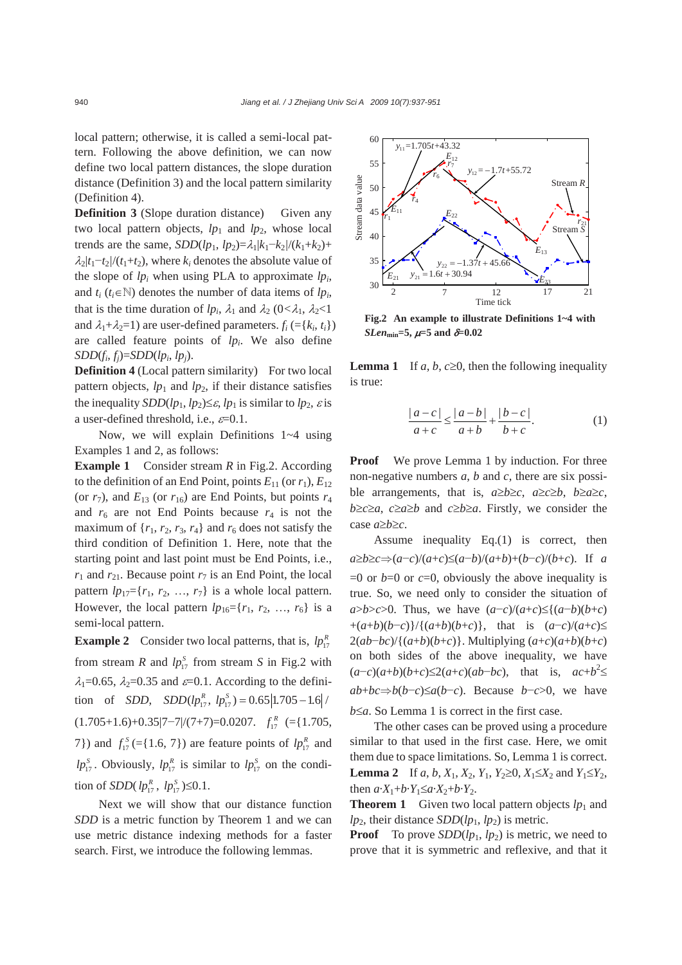local pattern; otherwise, it is called a semi-local pattern. Following the above definition, we can now define two local pattern distances, the slope duration distance (Definition 3) and the local pattern similarity (Definition 4).

**Definition 3** (Slope duration distance) Given any two local pattern objects,  $lp_1$  and  $lp_2$ , whose local trends are the same, *SDD*(*lp*<sub>1</sub>, *lp*<sub>2</sub>)= $\lambda_1$ | $k_1$ − $k_2$ |/( $k_1$ + $k_2$ )+  $\lambda_2|t_1-t_2|/(t_1+t_2)$ , where  $k_i$  denotes the absolute value of the slope of  $lp_i$  when using PLA to approximate  $lp_i$ , and  $t_i$  ( $t_i \in \mathbb{N}$ ) denotes the number of data items of  $lp_i$ , that is the time duration of  $lp_i$ ,  $\lambda_1$  and  $\lambda_2$  (0< $\lambda_1$ ,  $\lambda_2$ <1 and  $\lambda_1 + \lambda_2 = 1$ ) are user-defined parameters.  $f_i$  (={ $k_i$ ,  $t_i$ }) are called feature points of *lpi*. We also define  $SDD(f_i, f_i) = SDD(lp_i, lp_i).$ 

**Definition 4** (Local pattern similarity) For two local pattern objects,  $lp_1$  and  $lp_2$ , if their distance satisfies the inequality *SDD*( $lp_1$ ,  $lp_2$ ) $\leq \varepsilon$ ,  $lp_1$  is similar to  $lp_2$ ,  $\varepsilon$  is a user-defined threshold, i.e.,  $\varepsilon=0.1$ .

Now, we will explain Definitions 1~4 using Examples 1 and 2, as follows:

**Example 1** Consider stream *R* in Fig.2. According to the definition of an End Point, points  $E_{11}$  (or  $r_1$ ),  $E_{12}$ (or  $r_7$ ), and  $E_{13}$  (or  $r_{16}$ ) are End Points, but points  $r_4$ and  $r_6$  are not End Points because  $r_4$  is not the maximum of  $\{r_1, r_2, r_3, r_4\}$  and  $r_6$  does not satisfy the third condition of Definition 1. Here, note that the starting point and last point must be End Points, i.e.,  $r_1$  and  $r_{21}$ . Because point  $r_7$  is an End Point, the local pattern  $lp_{17}=[r_1, r_2, ..., r_7]$  is a whole local pattern. However, the local pattern  $lp_{16} = \{r_1, r_2, ..., r_6\}$  is a semi-local pattern.

**Example 2** Consider two local patterns, that is,  $lp_{17}^R$ from stream *R* and  $lp_{17}^s$  from stream *S* in Fig.2 with  $\lambda_1=0.65$ ,  $\lambda_2=0.35$  and  $\varepsilon=0.1$ . According to the definition of *SDD*,  $SDD(lp_{17}^R, lp_{17}^S) = 0.65 |1.705 - 1.6|$  $(1.705+1.6)+0.35|7-7|/(7+7)=0.0207.$   $f_{17}^R$  (={1.705, 7}) and  $f_{17}^s$  (={1.6, 7}) are feature points of  $lp_{17}^R$  and  $lp_{17}^S$ . Obviously,  $lp_{17}^R$  is similar to  $lp_{17}^S$  on the condition of *SDD*( $lp_{17}^R$ ,  $lp_{17}^S$ )≤0.1.

Next we will show that our distance function *SDD* is a metric function by Theorem 1 and we can use metric distance indexing methods for a faster search. First, we introduce the following lemmas.



**Fig.2 An example to illustrate Definitions 1~4 with**  *SLen***min=5,** μ**=5 and** δ**=0.02** 

**Lemma 1** If  $a, b, c \ge 0$ , then the following inequality is true:

$$
\frac{|a-c|}{a+c} \le \frac{|a-b|}{a+b} + \frac{|b-c|}{b+c}.
$$
 (1)

**Proof** We prove Lemma 1 by induction. For three non-negative numbers *a*, *b* and *c*, there are six possible arrangements, that is,  $a \ge b \ge c$ ,  $a \ge c \ge b$ ,  $b \ge a \ge c$ , *b*≥*c*≥*a*, *c*≥*a*≥*b* and *c*≥*b*≥*a*. Firstly, we consider the case *a*≥*b*≥*c*.

Assume inequality Eq.(1) is correct, then *a*≥*b*≥*c*⇒(*a*−*c*)/(*a*+*c*)≤(*a*−*b*)/(*a*+*b*)+(*b*−*c*)/(*b*+*c*). If *a*   $=0$  or *b*=0 or *c*=0, obviously the above inequality is true. So, we need only to consider the situation of *a*> b> c>0. Thus, we have  $(a-c)/(a+c) ≤ {(a-b)(b+c)}$ +(*a*+*b*)(*b*−*c*)}/{(*a*+*b*)(*b*+*c*)}, that is (*a*−*c*)/(*a*+*c*)≤  $2(ab-bc)/{(a+b)(b+c)}$ . Multiplying  $(a+c)(a+b)(b+c)$ on both sides of the above inequality, we have  $(a−c)(a+b)(b+c)≤2(a+c)(ab−bc)$ , that is,  $ac+b^2≤$ *ab*+*bc*⇒*b*(*b*−*c*)≤*a*(*b*−*c*). Because *b*−*c*>0, we have *b*≤*a*. So Lemma 1 is correct in the first case.

The other cases can be proved using a procedure similar to that used in the first case. Here, we omit them due to space limitations. So, Lemma 1 is correct. **Lemma 2** If *a*, *b*, *X*<sub>1</sub>, *X*<sub>2</sub>, *Y*<sub>1</sub>, *Y*<sub>2</sub>≥0, *X*<sub>1</sub>≤*X*<sub>2</sub> and *Y*<sub>1</sub>≤*Y*<sub>2</sub>, then  $a \cdot X_1 + b \cdot Y_1 \leq a \cdot X_2 + b \cdot Y_2$ .

**Theorem 1** Given two local pattern objects  $lp_1$  and  $lp_2$ , their distance *SDD*( $lp_1$ ,  $lp_2$ ) is metric.

**Proof** To prove *SDD*( $lp_1$ ,  $lp_2$ ) is metric, we need to prove that it is symmetric and reflexive, and that it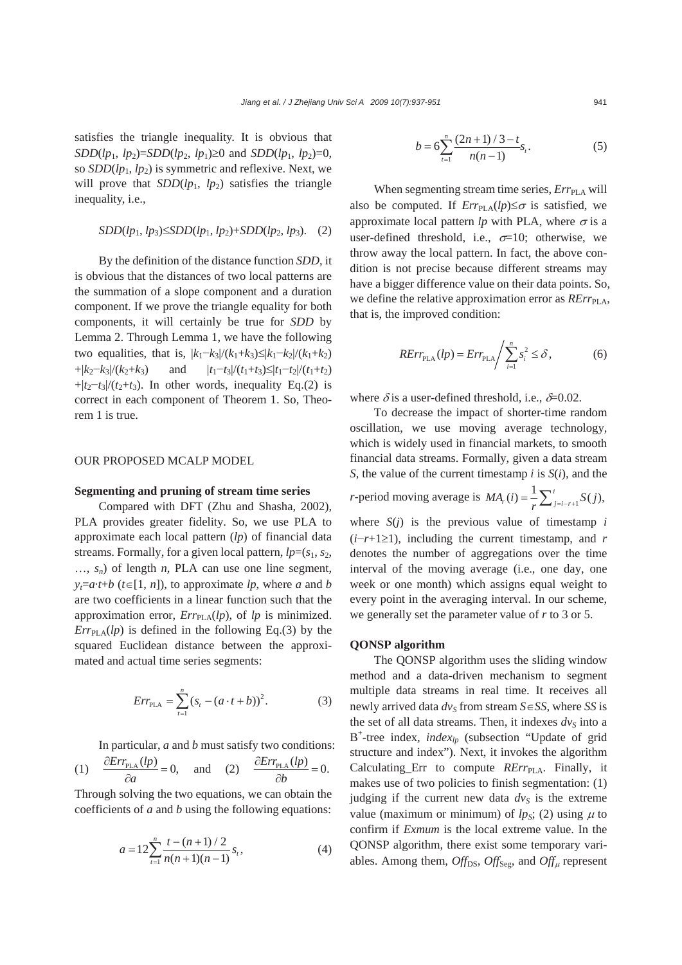satisfies the triangle inequality. It is obvious that *SDD*(*lp*<sub>1</sub>, *lp*<sub>2</sub>)=*SDD*(*lp*<sub>2</sub>, *lp*<sub>1</sub>)≥0 and *SDD*(*lp*<sub>1</sub>, *lp*<sub>2</sub>)=0, so *SDD*(*lp*1, *lp*2) is symmetric and reflexive. Next, we will prove that  $SDD(lp_1, lp_2)$  satisfies the triangle inequality, i.e.,

$$
SDD(lp_1, lp_3) \le SDD(lp_1, lp_2) + SDD(lp_2, lp_3). \quad (2)
$$

By the definition of the distance function *SDD*, it is obvious that the distances of two local patterns are the summation of a slope component and a duration component. If we prove the triangle equality for both components, it will certainly be true for *SDD* by Lemma 2. Through Lemma 1, we have the following two equalities, that is,  $|k_1-k_3|/(k_1+k_3) \le |k_1-k_2|/(k_1+k_2)$  $+|k_2-k_3|/(k_2+k_3)$  and  $|t_1-t_3|/(t_1+t_3) \le |t_1-t_2|/(t_1+t_2)$  $+|t_2-t_3|/(t_2+t_3)$ . In other words, inequality Eq.(2) is correct in each component of Theorem 1. So, Theorem 1 is true.

## OUR PROPOSED MCALP MODEL

#### **Segmenting and pruning of stream time series**

Compared with DFT (Zhu and Shasha, 2002), PLA provides greater fidelity. So, we use PLA to approximate each local pattern (*lp*) of financial data streams. Formally, for a given local pattern,  $lp=(s_1, s_2,$ …, *sn*) of length *n*, PLA can use one line segment,  $y_t = a \cdot t + b$  ( $t \in [1, n]$ ), to approximate *lp*, where *a* and *b* are two coefficients in a linear function such that the approximation error,  $Err_{PLA}(lp)$ , of  $lp$  is minimized.  $Err_{\text{PLA}}(lp)$  is defined in the following Eq.(3) by the squared Euclidean distance between the approximated and actual time series segments:

$$
Err_{\text{PLA}} = \sum_{t=1}^{n} (s_t - (a \cdot t + b))^2.
$$
 (3)

In particular, *a* and *b* must satisfy two conditions:

(1) 
$$
\frac{\partial Err_{\text{PLA}}(lp)}{\partial a} = 0
$$
, and (2)  $\frac{\partial Err_{\text{PLA}}(lp)}{\partial b} = 0$ .

Through solving the two equations, we can obtain the coefficients of *a* and *b* using the following equations:

$$
a = 12 \sum_{t=1}^{n} \frac{t - (n+1)/2}{n(n+1)(n-1)} s_t,
$$
\n(4)

$$
b = 6\sum_{t=1}^{n} \frac{(2n+1)/3 - t}{n(n-1)} s_t.
$$
 (5)

When segmenting stream time series, *Err*<sub>PLA</sub> will also be computed. If  $Err_{PLA}(lp) \leq \sigma$  is satisfied, we approximate local pattern  $lp$  with PLA, where  $\sigma$  is a user-defined threshold, i.e.,  $\sigma=10$ ; otherwise, we throw away the local pattern. In fact, the above condition is not precise because different streams may have a bigger difference value on their data points. So, we define the relative approximation error as *RErr*<sub>PLA</sub>, that is, the improved condition:

$$
RErr_{\text{PLA}}(lp) = Err_{\text{PLA}}\left(\sum_{i=1}^{n} s_i^2 \le \delta\right),\tag{6}
$$

where  $\delta$  is a user-defined threshold, i.e.,  $\delta$ =0.02.

To decrease the impact of shorter-time random oscillation, we use moving average technology, which is widely used in financial markets, to smooth financial data streams. Formally, given a data stream *S*, the value of the current timestamp *i* is *S*(*i*), and the *r*-period moving average is  $MA_r(i) = \frac{1}{r} \sum_{j=i-r+1}^{i} S(j)$ , where  $S(i)$  is the previous value of timestamp *i* (*i*−*r*+1≥1), including the current timestamp, and *r*  denotes the number of aggregations over the time interval of the moving average (i.e., one day, one week or one month) which assigns equal weight to every point in the averaging interval. In our scheme, we generally set the parameter value of *r* to 3 or 5.

#### **QONSP algorithm**

The QONSP algorithm uses the sliding window method and a data-driven mechanism to segment multiple data streams in real time. It receives all newly arrived data  $dv_S$  from stream  $S \in SS$ , where *SS* is the set of all data streams. Then, it indexes  $dv<sub>S</sub>$  into a  $B^+$ -tree index, *index<sub>lp</sub>* (subsection "Update of grid structure and index"). Next, it invokes the algorithm Calculating\_Err to compute *RErr*<sub>PLA</sub>. Finally, it makes use of two policies to finish segmentation: (1) judging if the current new data  $dv<sub>S</sub>$  is the extreme value (maximum or minimum) of  $lp$ <sub>S</sub>; (2) using  $\mu$  to confirm if *Exmum* is the local extreme value. In the QONSP algorithm, there exist some temporary variables. Among them,  $Off_{DS}$ ,  $Off_{Seg}$ , and  $Off_{\mu}$  represent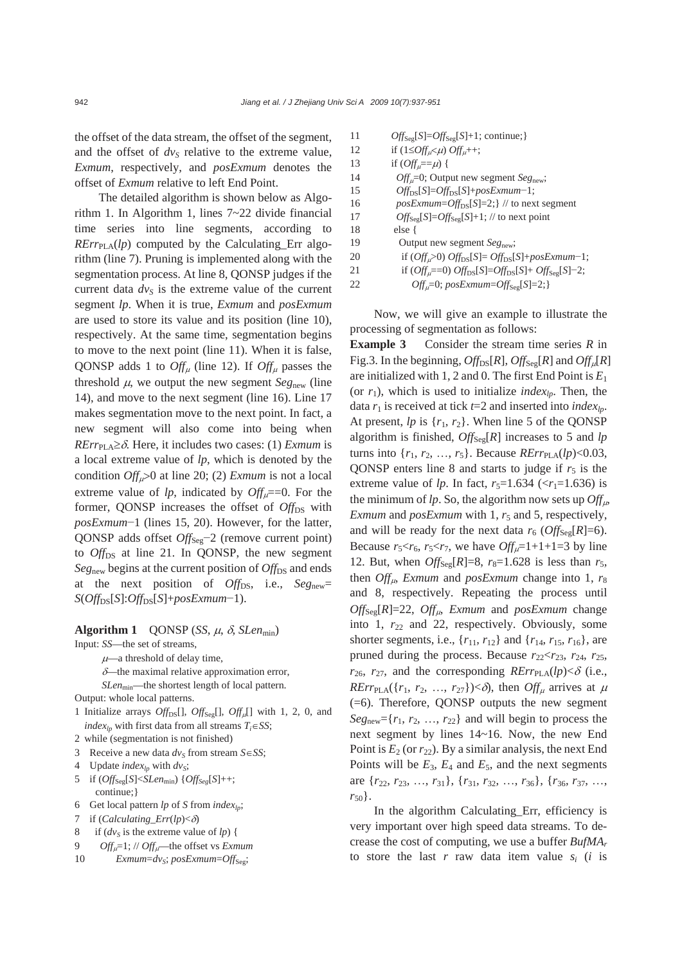the offset of the data stream, the offset of the segment, and the offset of  $dv<sub>S</sub>$  relative to the extreme value, *Exmum*, respectively, and *posExmum* denotes the offset of *Exmum* relative to left End Point.

The detailed algorithm is shown below as Algorithm 1. In Algorithm 1, lines 7~22 divide financial time series into line segments, according to  $RErr_{\text{PLA}}(lp)$  computed by the Calculating\_Err algorithm (line 7). Pruning is implemented along with the segmentation process. At line 8, QONSP judges if the current data  $dv<sub>S</sub>$  is the extreme value of the current segment *lp*. When it is true, *Exmum* and *posExmum* are used to store its value and its position (line 10), respectively. At the same time, segmentation begins to move to the next point (line 11). When it is false, QONSP adds 1 to  $Off_\mu$  (line 12). If  $Off_\mu$  passes the threshold  $\mu$ , we output the new segment  $Seg<sub>new</sub>}$  (line 14), and move to the next segment (line 16). Line 17 makes segmentation move to the next point. In fact, a new segment will also come into being when *RErr*<sub>PLA</sub>≥δ. Here, it includes two cases: (1) *Exmum* is a local extreme value of *lp*, which is denoted by the condition *Off*μ>0 at line 20; (2) *Exmum* is not a local extreme value of  $lp$ , indicated by  $Off_l = 0$ . For the former, QONSP increases the offset of *Off*<sub>DS</sub> with *posExmum*−1 (lines 15, 20). However, for the latter, QONSP adds offset *Off*<sub>Seg</sub>−2 (remove current point) to *Off*<sub>DS</sub> at line 21. In QONSP, the new segment *Seg*<sub>new</sub> begins at the current position of *Off*<sub>DS</sub> and ends at the next position of *Off*<sub>DS</sub>, i.e., *Seg*<sub>new</sub>= *S*(*Off*DS[*S*]:*Off*DS[*S*]+*posExmum*−1).

**Algorithm 1** QONSP (*SS*,  $\mu$ ,  $\delta$ , *SLen*<sub>min</sub>)

Input: *SS*—the set of streams,

- $\mu$ —a threshold of delay time,
- $\delta$ —the maximal relative approximation error,
- *SLen*<sub>min</sub>—the shortest length of local pattern.

Output: whole local patterns.

- 1 Initialize arrays *Off*<sub>DS</sub>[], *Off*<sub>Seg</sub>[], *Off*<sub>µ</sub>[] with 1, 2, 0, and *index<sub>lp</sub>* with first data from all streams  $T_i \in SS$ ;
- 2 while (segmentation is not finished)
- 3 Receive a new data  $dv_S$  from stream  $S \in SS$ ;
- 4 Update *index*<sub>lp</sub> with *dv<sub>S</sub>*;
- 5 if  $(\textit{Off}_{\text{Seg}}[S] < \textit{SLen}_{\text{min}}) \{ \textit{Off}_{\textit{Seg}}[S] + +;$ continue;}
- 6 Get local pattern *lp* of *S* from *indexlp*;
- 7 if (*Calculating*\_*Err*(*lp*)<δ)
- 8 if  $(dv<sub>S</sub>$  is the extreme value of *lp*) {
- 9 *Off<sub>u</sub>*=1; // *Off<sub>u</sub>*—the offset vs *Exmum*
- 10 *Exmum=dv<sub>S</sub>*; *posExmum=Off*<sub>Seg</sub>;

```
11 Off_{Seg}[S] = Off_{Seg}[S]+1; continue;}
12 if (1 \leq \theta f \leq \mu) \theta f \leq \theta + \frac{1}{2}13 if (Off_{\iota} = \mu) {
14 Off<sub>µ</sub>=0; Output new segment Seg<sub>new</sub>;
15 OffDS[S]=OffDS[S]+posExmum−1; 
16 posExmum = Off_{DS}[S]=2; // to next segment
17 Off_{Seg}[S] = Off_{Seg}[S]+1; // to next point
18 else { 
19 Output new segment Segnew; 
20 if (Off<sub>μ</sub> &gt; 0) Off<sub>DS</sub>[S] = Off<sub>DS</sub>[S] + posExmum-1;21 if (Off_{\mu}=-0) Off_{DS}[S]=Off_{DS}[S]+Off_{Seg}[S]-2;
```
22 *Off<sub>u</sub>*=0;  $posExmum = Off_{Seg}[S]=2;$ 

Now, we will give an example to illustrate the processing of segmentation as follows:

**Example 3** Consider the stream time series *R* in Fig.3. In the beginning,  $Off_{DS}[R]$ ,  $Off_{Seg}[R]$  and  $Off_{ul}[R]$ are initialized with 1, 2 and 0. The first End Point is *E*<sup>1</sup> (or  $r_1$ ), which is used to initialize *index<sub>lp</sub>*. Then, the data  $r_1$  is received at tick  $t=2$  and inserted into *index*<sub>lp</sub>. At present,  $lp$  is  $\{r_1, r_2\}$ . When line 5 of the QONSP algorithm is finished,  $Off_{Seg}[R]$  increases to 5 and *lp* turns into  $\{r_1, r_2, ..., r_5\}$ . Because *RErr*<sub>PLA</sub>(*lp*)<0.03, QONSP enters line 8 and starts to judge if  $r<sub>5</sub>$  is the extreme value of *lp*. In fact,  $r_5 = 1.634$  ( $\lt r_1 = 1.636$ ) is the minimum of *lp*. So, the algorithm now sets up  $Off_{\mu}$ , *Exmum* and *posExmum* with 1,  $r_5$  and 5, respectively, and will be ready for the next data  $r_6$  ( $\text{Off}_{\text{Seg}}[R]=6$ ). Because  $r_5 < r_6$ ,  $r_5 < r_7$ , we have  $\theta f_{\mu} = 1 + 1 + 1 = 3$  by line 12. But, when *Off*<sub>Seg</sub>[*R*]=8,  $r_8$ =1.628 is less than  $r_5$ , then *Off<sub>μ</sub>*, *Exmum* and *posExmum* change into 1, *r*<sub>8</sub> and 8, respectively. Repeating the process until *Off*Seg[*R*]=22, *Off*μ, *Exmum* and *posExmum* change into 1,  $r_{22}$  and 22, respectively. Obviously, some shorter segments, i.e.,  $\{r_{11}, r_{12}\}$  and  $\{r_{14}, r_{15}, r_{16}\}$ , are pruned during the process. Because  $r_{22} < r_{23}$ ,  $r_{24}$ ,  $r_{25}$ ,  $r_{26}$ ,  $r_{27}$ , and the corresponding  $RErr_{PLA}(lp)<\delta$  (i.e., *RErr*<sub>PLA</sub>({*r*<sub>1</sub>, *r*<sub>2</sub>, …, *r*<sub>27</sub>})< $\delta$ ), then *Off<sub>u</sub>* arrives at  $\mu$ (=6). Therefore, QONSP outputs the new segment  $Seg<sub>new</sub> = {r<sub>1</sub>, r<sub>2</sub>, ..., r<sub>22</sub>}$  and will begin to process the next segment by lines 14~16. Now, the new End Point is  $E_2$  (or  $r_{22}$ ). By a similar analysis, the next End Points will be  $E_3$ ,  $E_4$  and  $E_5$ , and the next segments are {*r*22, *r*23, …, *r*31}, {*r*31, *r*32, …, *r*36}, {*r*36, *r*37, …,  $r_{50}$ .

In the algorithm Calculating\_Err, efficiency is very important over high speed data streams. To decrease the cost of computing, we use a buffer *BufMAr* to store the last  $r$  raw data item value  $s_i$  (*i* is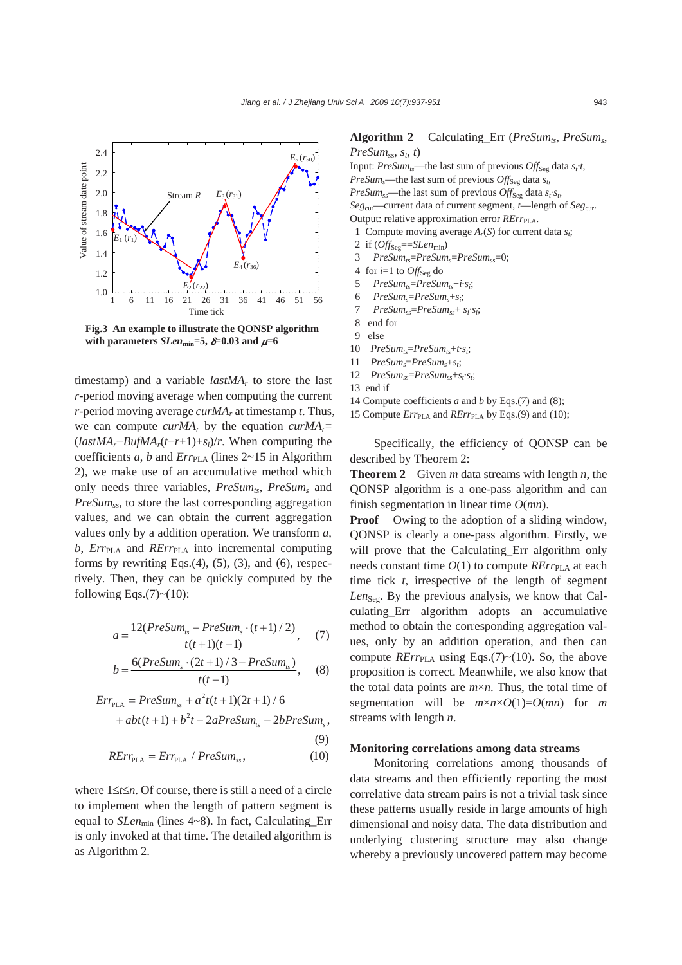

**Fig.3 An example to illustrate the QONSP algorithm**  with parameters *SLen*<sub>min</sub>=5,  $\delta$ =0.03 and  $\mu$ =6

timestamp) and a variable *lastMAr* to store the last *r*-period moving average when computing the current *r*-period moving average *curMAr* at timestamp *t*. Thus, we can compute  $\text{curl}A_r$  by the equation  $\text{curl}A_r =$ (*lastMAr*−*BufMAr*(*t*−*r*+1)+*si*)/*r*. When computing the coefficients *a*, *b* and  $Err_{PLA}$  (lines 2~15 in Algorithm 2), we make use of an accumulative method which only needs three variables, PreSum<sub>ts</sub>, PreSum<sub>s</sub> and *PreSumss*, to store the last corresponding aggregation values, and we can obtain the current aggregation values only by a addition operation. We transform *a*, *b*, *Err*<sub>PLA</sub> and *RErr*<sub>PLA</sub> into incremental computing forms by rewriting Eqs. $(4)$ ,  $(5)$ ,  $(3)$ , and  $(6)$ , respectively. Then, they can be quickly computed by the following Eqs. $(7)$  ~ $(10)$ :

$$
a = \frac{12(Presum_{ts} - PreSum_s \cdot (t+1)/2)}{t(t+1)(t-1)},
$$
 (7)

$$
b = \frac{6(PreSum_s \cdot (2t+1)/3 - PreSum_s)}{t(t-1)},
$$
 (8)

$$
Err_{\text{PLA}} = PreSum_{ss} + a^2 t(t+1)(2t+1) / 6
$$

$$
+abt(t+1)+b^{2}t-2aPreSum_{ts}-2bPreSum_{s},
$$

(9)

$$
RErr_{\text{PLA}} = Err_{\text{PLA}} / PreSum_{ss}, \qquad (10)
$$

where 1≤*t*≤*n*. Of course, there is still a need of a circle to implement when the length of pattern segment is equal to *SLen*<sub>min</sub> (lines 4~8). In fact, Calculating\_Err is only invoked at that time. The detailed algorithm is as Algorithm 2.

# Algorithm 2 Calculating\_Err (*PreSum<sub>ts</sub>*, *PreSum<sub>s</sub>*, *PreSum<sub>ss</sub>*,  $s_t$ ,  $t$ )

Input: *PreSum<sub>ts</sub>*—the last sum of previous  $Off_{Seg}$  data  $s_t \cdot t$ , *PreSum<sub>s</sub>*—the last sum of previous  $Off_{Seg}$  data  $s_t$ , *PreSum<sub>ss</sub>*—the last sum of previous  $Off_{\text{Seg}}$  data  $s_t \cdot s_t$ , *Seg*cur—current data of current segment, *t*—length of *Seg*cur. Output: relative approximation error *RErr*<sub>PLA</sub>.

- 1 Compute moving average *Ar*(*S*) for current data *st*;
- 2 if  $(Off_{Seg} == SLen_{min})$
- 3 *PreSumts*=*PreSums*=*PreSumss*=0;
- 4 for  $i=1$  to  $\text{Off}_{\text{Seg}}$  do
- 5 *PreSumts*=*PreSumts*+*i*·*si*;
- 6 *PreSums*=*PreSums*+*si*;
- 7 *PreSumss*=*PreSumss*+ *si*·*si*;
- 8 end for
- 9 else
- 10 *PreSumts*=*PreSumts*+*t*·*st*;
- 11 *PreSums*=*PreSums*+*st*;
- 12 *PreSumss*=*PreSumss*+*st*·*st*;
- 13 end if
- 14 Compute coefficients *a* and *b* by Eqs.(7) and (8);
- 15 Compute  $Err_{\text{PLA}}$  and  $RFrr_{\text{PLA}}$  by Eqs.(9) and (10);

Specifically, the efficiency of QONSP can be described by Theorem 2:

**Theorem 2** Given *m* data streams with length *n*, the QONSP algorithm is a one-pass algorithm and can finish segmentation in linear time *O*(*mn*).

**Proof** Owing to the adoption of a sliding window, QONSP is clearly a one-pass algorithm. Firstly, we will prove that the Calculating\_Err algorithm only needs constant time  $O(1)$  to compute  $RErr_{PLA}$  at each time tick *t*, irrespective of the length of segment Len<sub>Seg</sub>. By the previous analysis, we know that Calculating\_Err algorithm adopts an accumulative method to obtain the corresponding aggregation values, only by an addition operation, and then can compute  $RErr_{\text{PLA}}$  using Eqs.(7)~(10). So, the above proposition is correct. Meanwhile, we also know that the total data points are *m*×*n*. Thus, the total time of segmentation will be  $m \times n \times O(1) = O(mn)$  for *m* streams with length *n*.

## **Monitoring correlations among data streams**

Monitoring correlations among thousands of data streams and then efficiently reporting the most correlative data stream pairs is not a trivial task since these patterns usually reside in large amounts of high dimensional and noisy data. The data distribution and underlying clustering structure may also change whereby a previously uncovered pattern may become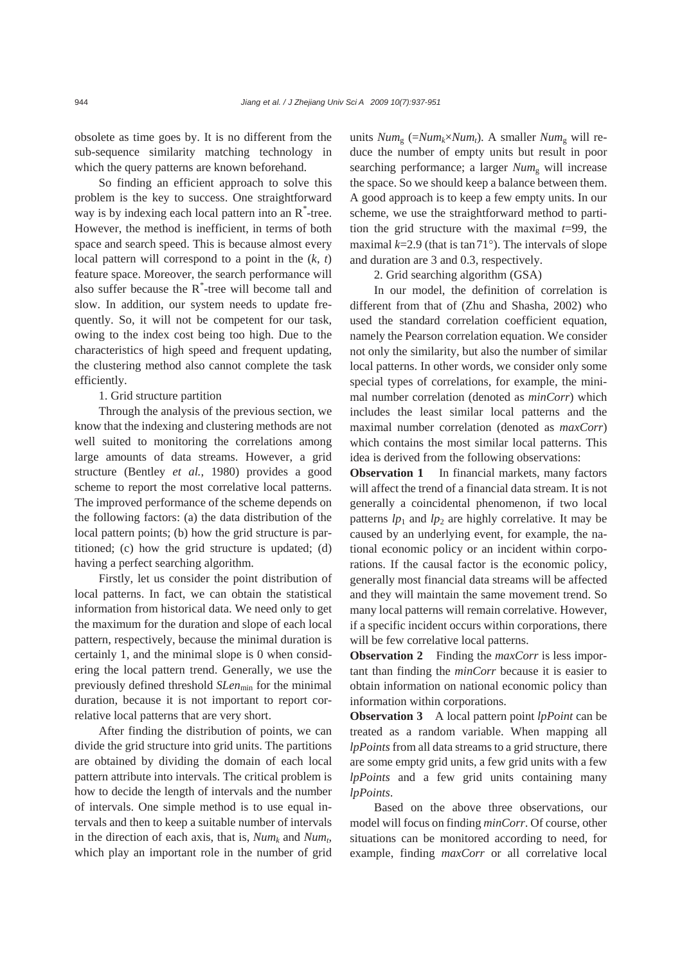obsolete as time goes by. It is no different from the sub-sequence similarity matching technology in which the query patterns are known beforehand.

So finding an efficient approach to solve this problem is the key to success. One straightforward way is by indexing each local pattern into an R*\** -tree. However, the method is inefficient, in terms of both space and search speed. This is because almost every local pattern will correspond to a point in the (*k*, *t*) feature space. Moreover, the search performance will also suffer because the  $R^*$ -tree will become tall and slow. In addition, our system needs to update frequently. So, it will not be competent for our task, owing to the index cost being too high. Due to the characteristics of high speed and frequent updating, the clustering method also cannot complete the task efficiently.

# 1. Grid structure partition

Through the analysis of the previous section, we know that the indexing and clustering methods are not well suited to monitoring the correlations among large amounts of data streams. However, a grid structure (Bentley *et al.*, 1980) provides a good scheme to report the most correlative local patterns. The improved performance of the scheme depends on the following factors: (a) the data distribution of the local pattern points; (b) how the grid structure is partitioned; (c) how the grid structure is updated; (d) having a perfect searching algorithm.

Firstly, let us consider the point distribution of local patterns. In fact, we can obtain the statistical information from historical data. We need only to get the maximum for the duration and slope of each local pattern, respectively, because the minimal duration is certainly 1, and the minimal slope is 0 when considering the local pattern trend. Generally, we use the previously defined threshold *SLen*<sub>min</sub> for the minimal duration, because it is not important to report correlative local patterns that are very short.

After finding the distribution of points, we can divide the grid structure into grid units. The partitions are obtained by dividing the domain of each local pattern attribute into intervals. The critical problem is how to decide the length of intervals and the number of intervals. One simple method is to use equal intervals and then to keep a suitable number of intervals in the direction of each axis, that is,  $Num<sub>k</sub>$  and  $Num<sub>t</sub>$ , which play an important role in the number of grid units  $Num_g$  (= $Num_k \times Num_t$ ). A smaller  $Num_g$  will reduce the number of empty units but result in poor searching performance; a larger *Num*<sub>g</sub> will increase the space. So we should keep a balance between them. A good approach is to keep a few empty units. In our scheme, we use the straightforward method to partition the grid structure with the maximal *t*=99, the maximal  $k=2.9$  (that is tan  $71^{\circ}$ ). The intervals of slope and duration are 3 and 0.3, respectively.

2. Grid searching algorithm (GSA)

In our model, the definition of correlation is different from that of (Zhu and Shasha, 2002) who used the standard correlation coefficient equation, namely the Pearson correlation equation. We consider not only the similarity, but also the number of similar local patterns. In other words, we consider only some special types of correlations, for example, the minimal number correlation (denoted as *minCorr*) which includes the least similar local patterns and the maximal number correlation (denoted as *maxCorr*) which contains the most similar local patterns. This idea is derived from the following observations:

**Observation 1** In financial markets, many factors will affect the trend of a financial data stream. It is not generally a coincidental phenomenon, if two local patterns  $lp_1$  and  $lp_2$  are highly correlative. It may be caused by an underlying event, for example, the national economic policy or an incident within corporations. If the causal factor is the economic policy, generally most financial data streams will be affected and they will maintain the same movement trend. So many local patterns will remain correlative. However, if a specific incident occurs within corporations, there will be few correlative local patterns.

**Observation 2** Finding the *maxCorr* is less important than finding the *minCorr* because it is easier to obtain information on national economic policy than information within corporations.

**Observation 3** A local pattern point *lpPoint* can be treated as a random variable. When mapping all *lpPoints* from all data streams to a grid structure, there are some empty grid units, a few grid units with a few *lpPoints* and a few grid units containing many *lpPoints*.

Based on the above three observations, our model will focus on finding *minCorr*. Of course, other situations can be monitored according to need, for example, finding *maxCorr* or all correlative local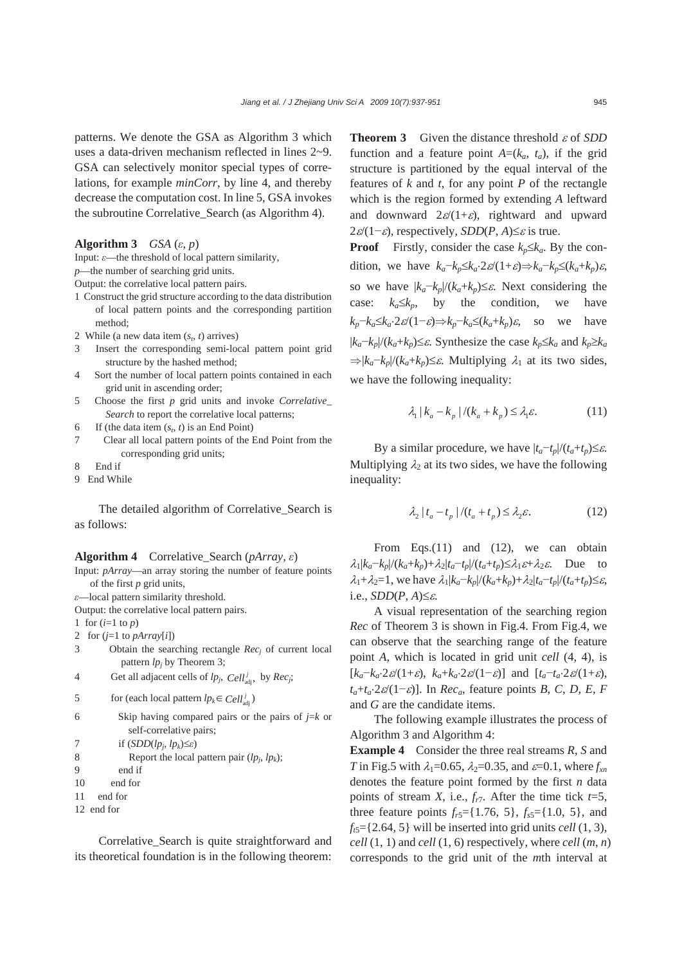patterns. We denote the GSA as Algorithm 3 which uses a data-driven mechanism reflected in lines 2~9. GSA can selectively monitor special types of correlations, for example *minCorr*, by line 4, and thereby decrease the computation cost. In line 5, GSA invokes the subroutine Correlative\_Search (as Algorithm 4).

**Algorithm 3** *GSA*  $(\varepsilon, p)$ 

Input: *ε*—the threshold of local pattern similarity,

*p*—the number of searching grid units.

Output: the correlative local pattern pairs.

- 1 Construct the grid structure according to the data distribution of local pattern points and the corresponding partition method;
- 2 While (a new data item  $(s_t, t)$  arrives)
- 3 Insert the corresponding semi-local pattern point grid structure by the hashed method;
- 4 Sort the number of local pattern points contained in each grid unit in ascending order;
- 5 Choose the first *p* grid units and invoke *Correlative\_ Search* to report the correlative local patterns;
- 6 If (the data item  $(s_t, t)$  is an End Point)
- 7 Clear all local pattern points of the End Point from the corresponding grid units;
- 8 End if

9 End While

The detailed algorithm of Correlative\_Search is as follows:

## **Algorithm 4** Correlative\_Search (*pArray*, *ε*)

Input: *pArray*—an array storing the number of feature points of the first *p* grid units,

*ε*—local pattern similarity threshold.

Output: the correlative local pattern pairs.

- 1 for (*i*=1 to *p*)
- 2 for  $(i=1$  to *pArray* $[i]$ )
- 3 Obtain the searching rectangle *Recj* of current local pattern *lp<sub>i</sub>* by Theorem 3;
- 4 Get all adjacent cells of  $lp_j$ ,  $Cell_{adi}^j$ , by  $Rec_j$ ;
- 5 for (each local pattern  $lp_k \in \text{Cell}_{\text{adj}}^j$ )
- 6 Skip having compared pairs or the pairs of *j*=*k* or self-correlative pairs;

```
7 if (SDD(lp_i, lp_k) \leq \varepsilon)
```
- 8 Report the local pattern pair  $(lp_i, lp_k)$ ;
- 9 end if
- 10 end for
- 11 end for
- 12 end for

Correlative\_Search is quite straightforward and its theoretical foundation is in the following theorem:

**Theorem 3** Given the distance threshold <sup>ε</sup> of *SDD*  function and a feature point  $A=(k_a, t_a)$ , if the grid structure is partitioned by the equal interval of the features of *k* and *t*, for any point *P* of the rectangle which is the region formed by extending *A* leftward and downward  $2\varepsilon/(1+\varepsilon)$ , rightward and upward  $2\varepsilon/(1-\varepsilon)$ , respectively, *SDD*(*P*, *A*)≤ $\varepsilon$  is true.

**Proof** Firstly, consider the case  $k_p \leq k_a$ . By the condition, we have  $k_a - k_p \leq k_a \cdot 2\varepsilon/(1+\varepsilon) \Rightarrow k_a - k_p \leq (k_a + k_p)\varepsilon$ , so we have  $|k_a-k_p|/(k_a+k_p) \leq \varepsilon$ . Next considering the case:  $k_a \leq k_p$ , by the condition, we have  $k_p - k_a \le k_a \cdot 2\varepsilon/(1-\varepsilon) \Rightarrow k_p - k_a \le (k_a + k_p)\varepsilon$ , so we have  $|k_a−k_p|/(k_a+k_p)$ ≤ε. Synthesize the case  $k_p≤k_a$  and  $k_p≥k_a$  $\Rightarrow |k_a-k_p|/(k_a+k_p) \leq \varepsilon$ . Multiplying  $\lambda_1$  at its two sides, we have the following inequality:

$$
\lambda_1 | k_a - k_p | / (k_a + k_p) \le \lambda_1 \varepsilon. \tag{11}
$$

By a similar procedure, we have  $|t_a-t_p|/(t_a+t_p) \leq \varepsilon$ . Multiplying  $\lambda_2$  at its two sides, we have the following inequality:

$$
\lambda_2 \left| t_a - t_p \right| / (t_a + t_p) \le \lambda_2 \varepsilon. \tag{12}
$$

From Eqs.(11) and (12), we can obtain  $\lambda_1 |k_a-k_p|/(k_a+k_p)+\lambda_2|t_a-t_p|/(t_a+t_p)\leq \lambda_1 \varepsilon+\lambda_2 \varepsilon$ . Due to  $\lambda_1 + \lambda_2 = 1$ , we have  $\lambda_1 |k_a - k_p| / (k_a + k_p) + \lambda_2 |t_a - t_p| / (t_a + t_p) \leq \varepsilon$ , i.e.,  $SDD(P, A) \leq \varepsilon$ .

A visual representation of the searching region *Rec* of Theorem 3 is shown in Fig.4. From Fig.4, we can observe that the searching range of the feature point *A*, which is located in grid unit *cell* (4, 4), is  $[k_a-k_a\cdot 2\varepsilon/(1+\varepsilon), k_a+k_a\cdot 2\varepsilon/(1-\varepsilon)]$  and  $[t_a-t_a\cdot 2\varepsilon/(1+\varepsilon),$  $t_a + t_a \cdot 2\varepsilon/(1-\varepsilon)$ . In *Rec<sub>a</sub>*, feature points *B*, *C*, *D*, *E*, *F* and *G* are the candidate items.

The following example illustrates the process of Algorithm 3 and Algorithm 4:

**Example 4** Consider the three real streams *R*, *S* and *T* in Fig.5 with  $\lambda_1 = 0.65$ ,  $\lambda_2 = 0.35$ , and  $\varepsilon = 0.1$ , where  $f_{xx}$ denotes the feature point formed by the first *n* data points of stream *X*, i.e.,  $f_{r7}$ . After the time tick  $t=5$ , three feature points  $f_{r5}$ ={1.76, 5},  $f_{s5}$ ={1.0, 5}, and  $f<sub>6</sub>=$ {2.64, 5} will be inserted into grid units *cell* (1, 3),  $cell(1, 1)$  and  $cell(1, 6)$  respectively, where  $cell(m, n)$ corresponds to the grid unit of the *m*th interval at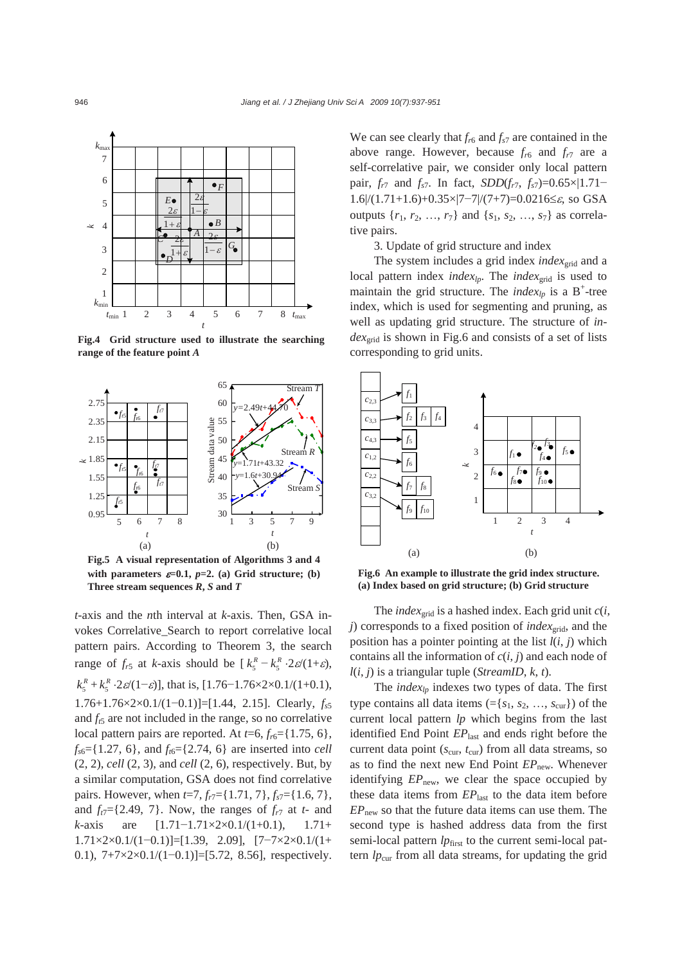

**Fig.4 Grid structure used to illustrate the searching** 



with parameters  $\varepsilon=0.1$ ,  $p=2$ . (a) Grid structure; (b) **Three stream sequences** *R***,** *S* **and** *T* 

*t*-axis and the *n*th interval at *k*-axis. Then, GSA invokes Correlative\_Search to report correlative local pattern pairs. According to Theorem 3, the search range of  $f_{r5}$  at *k*-axis should be  $\left[k_5^R - k_5^R \cdot 2\varepsilon/(1+\varepsilon)\right]$ ,  $k_5^R + k_5^R \cdot 2\varepsilon/(1-\varepsilon)$ , that is, [1.76–1.76×2×0.1/(1+0.1), 1.76+1.76×2×0.1/(1−0.1)]=[1.44, 2.15]. Clearly, *fs*<sup>5</sup> and  $f_{t5}$  are not included in the range, so no correlative local pattern pairs are reported. At  $t=6$ ,  $f_{r6}$ ={1.75, 6},  $f_{\text{56}} = \{1.27, 6\}$ , and  $f_{\text{66}} = \{2.74, 6\}$  are inserted into *cell* (2, 2), *cell* (2, 3), and *cell* (2, 6), respectively. But, by a similar computation, GSA does not find correlative pairs. However, when  $t=7, f_{r7}=[1.71, 7], f_{s7}=[1.6, 7],$ and  $f_{\tau}$ ={2.49, 7}. Now, the ranges of  $f_{\tau}$  at *t*- and *k*-axis are [1.71−1.71×2×0.1/(1+0.1), 1.71+ 1.71×2×0.1/(1−0.1)]=[1.39, 2.09], [7−7×2×0.1/(1+ 0.1),  $7+7\times2\times0.1/(1-0.1)$ ]=[5.72, 8.56], respectively.

We can see clearly that  $f_{r6}$  and  $f_{s7}$  are contained in the above range. However, because  $f_{r6}$  and  $f_{r7}$  are a self-correlative pair, we consider only local pattern pair,  $f_{r7}$  and  $f_{s7}$ . In fact, *SDD*( $f_{r7}$ ,  $f_{s7}$ )=0.65×|1.71− 1.6|/(1.71+1.6)+0.35×|7−7|/(7+7)=0.0216≤ε, so GSA outputs  $\{r_1, r_2, ..., r_7\}$  and  $\{s_1, s_2, ..., s_7\}$  as correlative pairs.

## 3. Update of grid structure and index

The system includes a grid index *index*<sub>grid</sub> and a local pattern index *index<sub>lp</sub>*. The *index*<sub>grid</sub> is used to maintain the grid structure. The *index*<sub> $lp$ </sub> is a B<sup>+</sup>-tree index, which is used for segmenting and pruning, as well as updating grid structure. The structure of *index*grid is shown in Fig.6 and consists of a set of lists corresponding to grid units.



**Fig.6 An example to illustrate the grid index structure. (a) Index based on grid structure; (b) Grid structure** 

The *index*<sub>grid</sub> is a hashed index. Each grid unit  $c(i,$ *j*) corresponds to a fixed position of *index*<sub>orid</sub>, and the position has a pointer pointing at the list  $l(i, j)$  which contains all the information of *c*(*i*, *j*) and each node of *l*(*i*, *j*) is a triangular tuple (*StreamID*, *k*, *t*).

The *indexlp* indexes two types of data. The first type contains all data items  $(=\{s_1, s_2, ..., s_{\text{cur}}\})$  of the current local pattern *lp* which begins from the last identified End Point *EP*last and ends right before the current data point  $(s<sub>cur</sub>, t<sub>cur</sub>)$  from all data streams, so as to find the next new End Point  $EP_{\text{new}}$ . Whenever identifying *EP*<sub>new</sub>, we clear the space occupied by these data items from  $EP<sub>last</sub>$  to the data item before  $EP<sub>new</sub>$  so that the future data items can use them. The second type is hashed address data from the first semi-local pattern  $lp_{\text{first}}$  to the current semi-local pattern  $lp_{\text{cur}}$  from all data streams, for updating the grid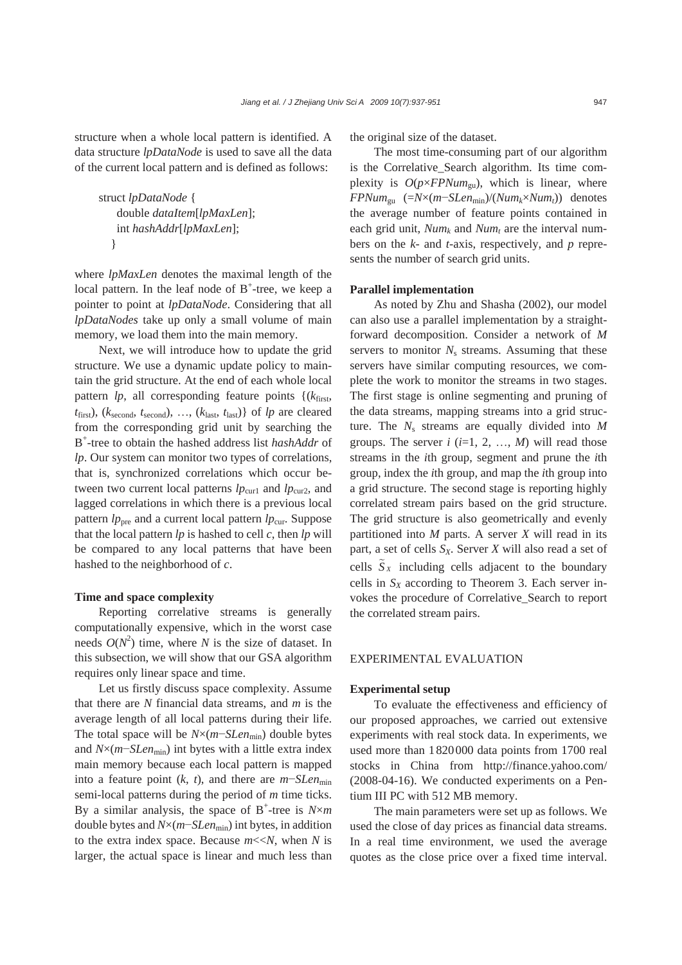structure when a whole local pattern is identified. A data structure *lpDataNode* is used to save all the data of the current local pattern and is defined as follows:

struct *lpDataNode* { double *dataItem*[*lpMaxLen*]; int *hashAddr*[*lpMaxLen*]; }

where *lpMaxLen* denotes the maximal length of the local pattern. In the leaf node of  $B^+$ -tree, we keep a pointer to point at *lpDataNode*. Considering that all *lpDataNodes* take up only a small volume of main memory, we load them into the main memory.

Next, we will introduce how to update the grid structure. We use a dynamic update policy to maintain the grid structure. At the end of each whole local pattern  $lp$ , all corresponding feature points  $\{(k_{\text{first}},$ *t*first), (*k*second, *t*second), …, (*k*last, *t*last)} of *lp* are cleared from the corresponding grid unit by searching the B+ -tree to obtain the hashed address list *hashAddr* of *lp*. Our system can monitor two types of correlations, that is, synchronized correlations which occur between two current local patterns  $lp_{\text{curl}}$  and  $lp_{\text{curl}}$ , and lagged correlations in which there is a previous local pattern  $lp_{pre}$  and a current local pattern  $lp_{cur}$ . Suppose that the local pattern  $lp$  is hashed to cell  $c$ , then  $lp$  will be compared to any local patterns that have been hashed to the neighborhood of *c*.

## **Time and space complexity**

Reporting correlative streams is generally computationally expensive, which in the worst case needs  $O(N^2)$  time, where *N* is the size of dataset. In this subsection, we will show that our GSA algorithm requires only linear space and time.

Let us firstly discuss space complexity. Assume that there are *N* financial data streams, and *m* is the average length of all local patterns during their life. The total space will be  $N \times (m - SLen_{\text{min}})$  double bytes and *N*×(*m*−*SLen*<sub>min</sub>) int bytes with a little extra index main memory because each local pattern is mapped into a feature point (*k*, *t*), and there are *m*−*SLen*min semi-local patterns during the period of *m* time ticks. By a similar analysis, the space of  $B^+$ -tree is  $N \times m$ double bytes and *N*×(*m*−*SLen*min) int bytes, in addition to the extra index space. Because *m*<<*N*, when *N* is larger, the actual space is linear and much less than

the original size of the dataset.

The most time-consuming part of our algorithm is the Correlative\_Search algorithm. Its time complexity is  $O(p \times FPNum_{\text{gu}})$ , which is linear, where  $FPNum_{\text{su}}$  (= $N \times (m-SLen_{\text{min}})/(Num_k \times Num_t)$ ) denotes the average number of feature points contained in each grid unit, *Num<sub>k</sub>* and *Num<sub>t</sub>* are the interval numbers on the *k*- and *t*-axis, respectively, and *p* represents the number of search grid units.

#### **Parallel implementation**

As noted by Zhu and Shasha (2002), our model can also use a parallel implementation by a straightforward decomposition. Consider a network of *M*  servers to monitor  $N_s$  streams. Assuming that these servers have similar computing resources, we complete the work to monitor the streams in two stages. The first stage is online segmenting and pruning of the data streams, mapping streams into a grid structure. The  $N_s$  streams are equally divided into  $M$ groups. The server  $i$  ( $i=1, 2, ..., M$ ) will read those streams in the *i*th group, segment and prune the *i*th group, index the *i*th group, and map the *i*th group into a grid structure. The second stage is reporting highly correlated stream pairs based on the grid structure. The grid structure is also geometrically and evenly partitioned into *M* parts. A server *X* will read in its part, a set of cells *S<sub>X</sub>*. Server *X* will also read a set of cells  $S_X$  including cells adjacent to the boundary cells in  $S_X$  according to Theorem 3. Each server invokes the procedure of Correlative\_Search to report the correlated stream pairs.

## EXPERIMENTAL EVALUATION

#### **Experimental setup**

To evaluate the effectiveness and efficiency of our proposed approaches, we carried out extensive experiments with real stock data. In experiments, we used more than 1820000 data points from 1700 real stocks in China from http://finance.yahoo.com/ (2008-04-16). We conducted experiments on a Pentium III PC with 512 MB memory.

The main parameters were set up as follows. We used the close of day prices as financial data streams. In a real time environment, we used the average quotes as the close price over a fixed time interval.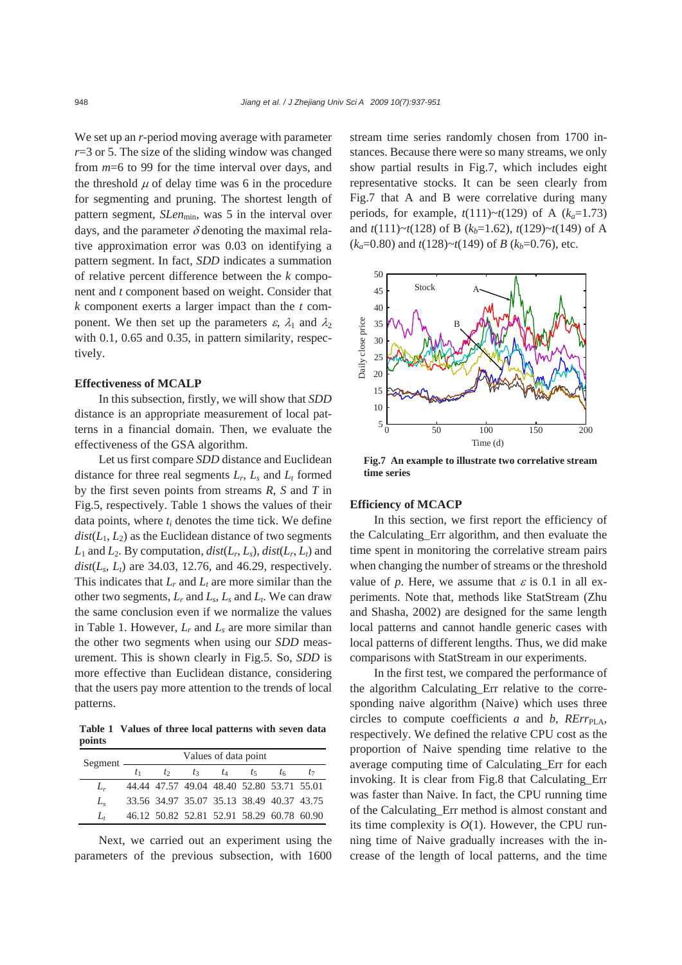We set up an *r*-period moving average with parameter *r*=3 or 5. The size of the sliding window was changed from *m*=6 to 99 for the time interval over days, and the threshold  $\mu$  of delay time was 6 in the procedure for segmenting and pruning. The shortest length of pattern segment, *SLen*<sub>min</sub>, was 5 in the interval over days, and the parameter  $\delta$  denoting the maximal relative approximation error was 0.03 on identifying a pattern segment. In fact, *SDD* indicates a summation of relative percent difference between the *k* component and *t* component based on weight. Consider that *k* component exerts a larger impact than the *t* component. We then set up the parameters  $\varepsilon$ ,  $\lambda_1$  and  $\lambda_2$ with 0.1, 0.65 and 0.35, in pattern similarity, respectively.

## **Effectiveness of MCALP**

In this subsection, firstly, we will show that *SDD*  distance is an appropriate measurement of local patterns in a financial domain. Then, we evaluate the effectiveness of the GSA algorithm.

Let us first compare *SDD* distance and Euclidean distance for three real segments  $L_r$ ,  $L_s$  and  $L_t$  formed by the first seven points from streams *R*, *S* and *T* in Fig.5, respectively. Table 1 shows the values of their data points, where *ti* denotes the time tick. We define  $dist(L_1, L_2)$  as the Euclidean distance of two segments  $L_1$  and  $L_2$ . By computation,  $dist(L_r, L_s)$ ,  $dist(L_r, L_t)$  and  $dist(L_s, L_t)$  are 34.03, 12.76, and 46.29, respectively. This indicates that  $L_r$  and  $L_t$  are more similar than the other two segments,  $L_r$  and  $L_s$ ,  $L_s$  and  $L_t$ . We can draw the same conclusion even if we normalize the values in Table 1. However,  $L_r$  and  $L_s$  are more similar than the other two segments when using our *SDD* measurement. This is shown clearly in Fig.5. So, *SDD* is more effective than Euclidean distance, considering that the users pay more attention to the trends of local patterns.

**Table 1 Values of three local patterns with seven data points**

| Segment - | Values of data point |         |                                           |         |         |              |  |
|-----------|----------------------|---------|-------------------------------------------|---------|---------|--------------|--|
|           |                      | $t_{2}$ | $t_3$                                     | $t_{4}$ | $I_{5}$ | $I_{\rm{6}}$ |  |
|           |                      |         | 44.44 47.57 49.04 48.40 52.80 53.71 55.01 |         |         |              |  |
| L.        |                      |         | 33.56 34.97 35.07 35.13 38.49 40.37 43.75 |         |         |              |  |
|           |                      |         | 46.12 50.82 52.81 52.91 58.29 60.78 60.90 |         |         |              |  |

Next, we carried out an experiment using the parameters of the previous subsection, with 1600 stream time series randomly chosen from 1700 instances. Because there were so many streams, we only show partial results in Fig.7, which includes eight representative stocks. It can be seen clearly from Fig.7 that A and B were correlative during many periods, for example,  $t(111)~t(129)$  of A  $(k_a=1.73)$ and  $t(111)~t(128)$  of B ( $k_b=1.62$ ),  $t(129)~t(149)$  of A  $(k_a=0.80)$  and  $t(128)~t(149)$  of *B*  $(k_b=0.76)$ , etc.



**Fig.7 An example to illustrate two correlative stream** 

#### **Efficiency of MCACP**

In this section, we first report the efficiency of the Calculating\_Err algorithm, and then evaluate the time spent in monitoring the correlative stream pairs when changing the number of streams or the threshold value of *p*. Here, we assume that  $\varepsilon$  is 0.1 in all experiments. Note that, methods like StatStream (Zhu and Shasha, 2002) are designed for the same length local patterns and cannot handle generic cases with local patterns of different lengths. Thus, we did make comparisons with StatStream in our experiments.

In the first test, we compared the performance of the algorithm Calculating\_Err relative to the corresponding naive algorithm (Naive) which uses three circles to compute coefficients *a* and *b*,  $RErr_{\text{PLA}}$ , respectively. We defined the relative CPU cost as the proportion of Naive spending time relative to the average computing time of Calculating\_Err for each invoking. It is clear from Fig.8 that Calculating\_Err was faster than Naive. In fact, the CPU running time of the Calculating\_Err method is almost constant and its time complexity is  $O(1)$ . However, the CPU running time of Naive gradually increases with the increase of the length of local patterns, and the time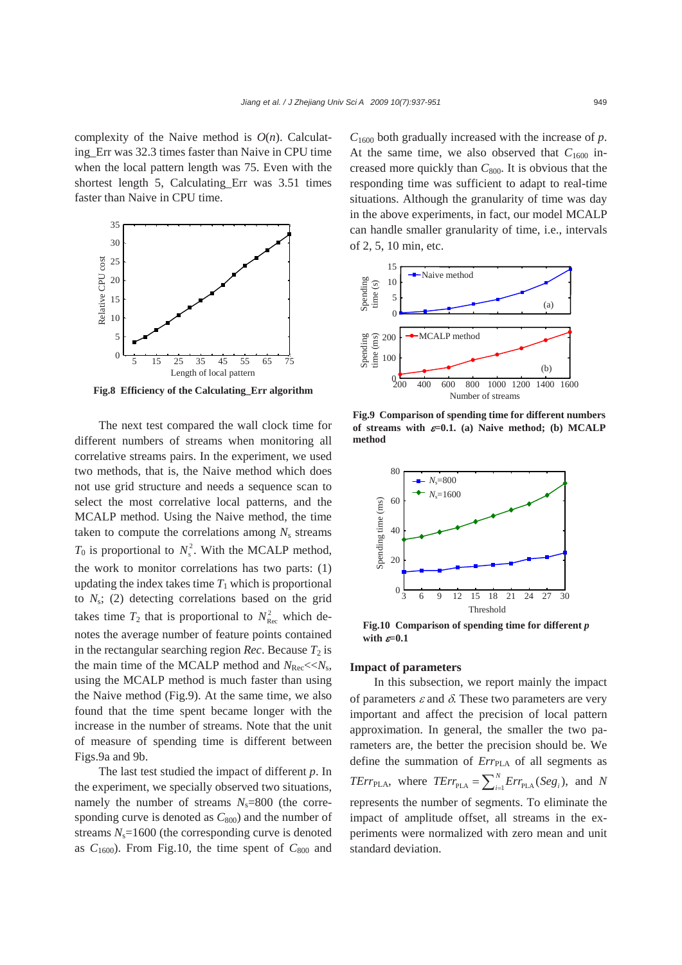complexity of the Naive method is  $O(n)$ . Calculating\_Err was 32.3 times faster than Naive in CPU time when the local pattern length was 75. Even with the shortest length 5, Calculating Err was 3.51 times faster than Naive in CPU time.



**Fig.8 Efficiency of the Calculating\_Err algorithm** 

The next test compared the wall clock time for different numbers of streams when monitoring all correlative streams pairs. In the experiment, we used two methods, that is, the Naive method which does not use grid structure and needs a sequence scan to select the most correlative local patterns, and the MCALP method. Using the Naive method, the time taken to compute the correlations among  $N<sub>s</sub>$  streams  $T_0$  is proportional to  $N_s^2$ . With the MCALP method, the work to monitor correlations has two parts: (1) updating the index takes time  $T_1$  which is proportional to *N*s; (2) detecting correlations based on the grid takes time  $T_2$  that is proportional to  $N_{\text{Rec}}^2$  which denotes the average number of feature points contained in the rectangular searching region *Rec*. Because  $T_2$  is the main time of the MCALP method and  $N_{\text{Rec}} \ll N_{\text{s}}$ , using the MCALP method is much faster than using the Naive method (Fig.9). At the same time, we also found that the time spent became longer with the increase in the number of streams. Note that the unit of measure of spending time is different between Figs.9a and 9b.

The last test studied the impact of different *p*. In the experiment, we specially observed two situations, namely the number of streams  $N_s$ =800 (the corresponding curve is denoted as  $C_{800}$ ) and the number of streams  $N_s$ =1600 (the corresponding curve is denoted as  $C_{1600}$ ). From Fig.10, the time spent of  $C_{800}$  and *C*1600 both gradually increased with the increase of *p*. At the same time, we also observed that  $C_{1600}$  increased more quickly than  $C_{800}$ . It is obvious that the responding time was sufficient to adapt to real-time situations. Although the granularity of time was day in the above experiments, in fact, our model MCALP can handle smaller granularity of time, i.e., intervals of 2, 5, 10 min, etc.



**Fig.9 Comparison of spending time for different numbers**  of streams with  $\varepsilon=0.1$ . (a) Naive method; (b) MCALP **method** 



**Fig.10 Comparison of spending time for different** *p* **with** ε**=0.1** 

#### **Impact of parameters**

In this subsection, we report mainly the impact of parameters  $\varepsilon$  and  $\delta$ . These two parameters are very important and affect the precision of local pattern approximation. In general, the smaller the two parameters are, the better the precision should be. We define the summation of  $Err_{PLA}$  of all segments as  $TErr_{\text{PLA}}$ , where  $TErr_{\text{PLA}} = \sum_{i=1}^{N} Err_{\text{PLA}}(Seg_i)$ , and *N* represents the number of segments. To eliminate the impact of amplitude offset, all streams in the experiments were normalized with zero mean and unit standard deviation.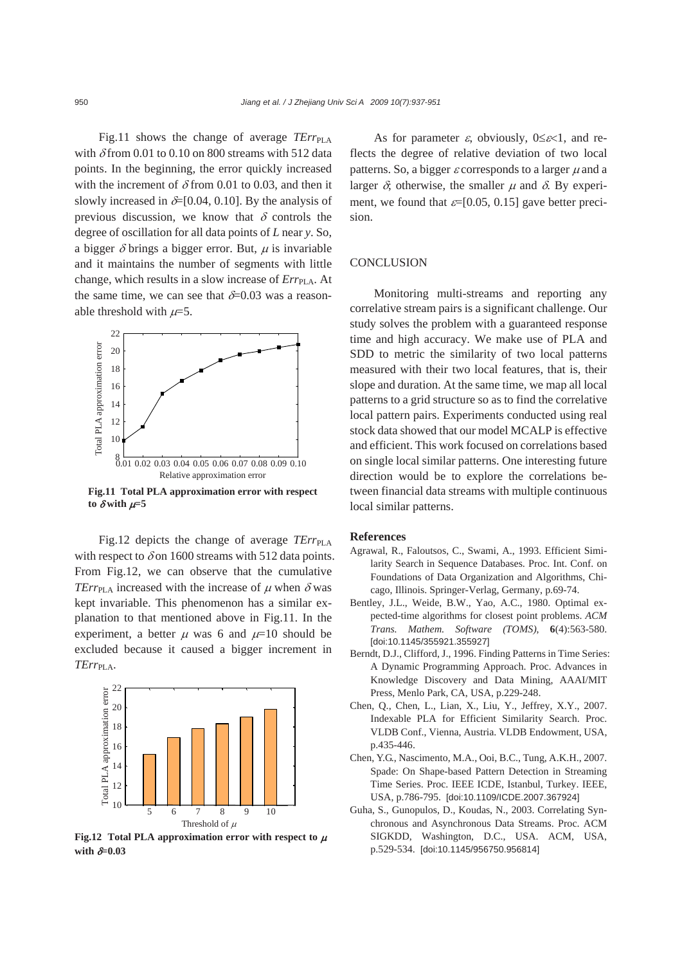Fig.11 shows the change of average  $TErr_{\text{PLA}}$ with  $\delta$  from 0.01 to 0.10 on 800 streams with 512 data points. In the beginning, the error quickly increased with the increment of  $\delta$  from 0.01 to 0.03, and then it slowly increased in  $\&[0.04, 0.10]$ . By the analysis of previous discussion, we know that  $\delta$  controls the degree of oscillation for all data points of *L* near *y*. So, a bigger  $\delta$  brings a bigger error. But,  $\mu$  is invariable and it maintains the number of segments with little change, which results in a slow increase of *Err*<sub>PLA</sub>. At the same time, we can see that  $&\text{0.03}$  was a reasonable threshold with  $\mu=5$ .



**Fig.11 Total PLA approximation error with respect to**  $\delta$  with  $\mu=5$ 

Fig.12 depicts the change of average  $TErr_{\text{PLA}}$ with respect to  $\delta$  on 1600 streams with 512 data points. From Fig.12, we can observe that the cumulative *TErr*<sub>PLA</sub> increased with the increase of  $\mu$  when  $\delta$  was kept invariable. This phenomenon has a similar explanation to that mentioned above in Fig.11. In the experiment, a better  $\mu$  was 6 and  $\mu=10$  should be excluded because it caused a bigger increment in *TErr*PLA.



**Fig.12 Total PLA approximation error with respect to** <sup>μ</sup> **with** δ**=0.03** 

As for parameter  $\varepsilon$ , obviously,  $0 \leq \varepsilon < 1$ , and reflects the degree of relative deviation of two local patterns. So, a bigger  $\varepsilon$  corresponds to a larger  $\mu$  and a larger  $\delta$ ; otherwise, the smaller  $\mu$  and  $\delta$ . By experiment, we found that  $\varepsilon$ =[0.05, 0.15] gave better precision.

## **CONCLUSION**

Monitoring multi-streams and reporting any correlative stream pairs is a significant challenge. Our study solves the problem with a guaranteed response time and high accuracy. We make use of PLA and SDD to metric the similarity of two local patterns measured with their two local features, that is, their slope and duration. At the same time, we map all local patterns to a grid structure so as to find the correlative local pattern pairs. Experiments conducted using real stock data showed that our model MCALP is effective and efficient. This work focused on correlations based on single local similar patterns. One interesting future direction would be to explore the correlations between financial data streams with multiple continuous local similar patterns.

#### **References**

- Agrawal, R., Faloutsos, C., Swami, A., 1993. Efficient Similarity Search in Sequence Databases. Proc. Int. Conf. on Foundations of Data Organization and Algorithms, Chicago, Illinois. Springer-Verlag, Germany, p.69-74.
- Bentley, J.L., Weide, B.W., Yao, A.C., 1980. Optimal expected-time algorithms for closest point problems. *ACM Trans. Mathem. Software (TOMS)*, **6**(4):563-580. [doi:10.1145/355921.355927]
- Berndt, D.J., Clifford, J., 1996. Finding Patterns in Time Series: A Dynamic Programming Approach. Proc. Advances in Knowledge Discovery and Data Mining, AAAI/MIT Press, Menlo Park, CA, USA, p.229-248.
- Chen, Q., Chen, L., Lian, X., Liu, Y., Jeffrey, X.Y., 2007. Indexable PLA for Efficient Similarity Search. Proc. VLDB Conf., Vienna, Austria. VLDB Endowment, USA, p.435-446.
- Chen, Y.G., Nascimento, M.A., Ooi, B.C., Tung, A.K.H., 2007. Spade: On Shape-based Pattern Detection in Streaming Time Series. Proc. IEEE ICDE, Istanbul, Turkey. IEEE, USA, p.786-795. [doi:10.1109/ICDE.2007.367924]
- Guha, S., Gunopulos, D., Koudas, N., 2003. Correlating Synchronous and Asynchronous Data Streams. Proc. ACM SIGKDD, Washington, D.C., USA. ACM, USA, p.529-534. [doi:10.1145/956750.956814]